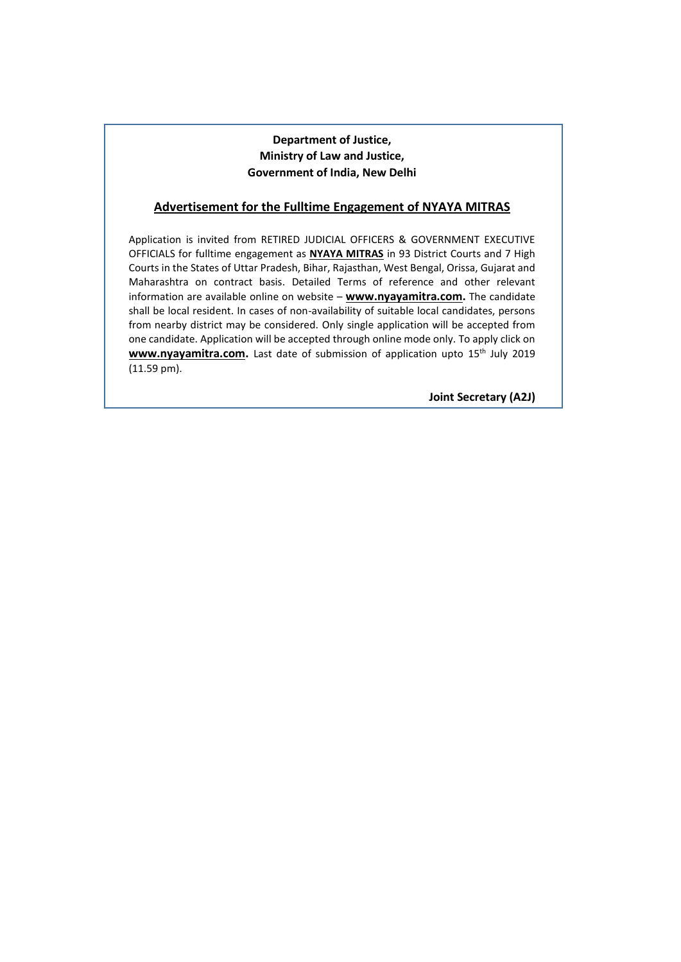## **Department of Justice, Ministry of Law and Justice, Government of India, New Delhi**

## **Advertisement for the Fulltime Engagement of NYAYA MITRAS**

Application is invited from RETIRED JUDICIAL OFFICERS & GOVERNMENT EXECUTIVE OFFICIALS for fulltime engagement as **NYAYA MITRAS** in 93 District Courts and 7 High Courts in the States of Uttar Pradesh, Bihar, Rajasthan, West Bengal, Orissa, Gujarat and Maharashtra on contract basis. Detailed Terms of reference and other relevant information are available online on website – **www.nyayamitra.com.** The candidate shall be local resident. In cases of non-availability of suitable local candidates, persons from nearby district may be considered. Only single application will be accepted from one candidate. Application will be accepted through online mode only. To apply click on www.nyayamitra.com. Last date of submission of application upto 15<sup>th</sup> July 2019 (11.59 pm).

**Joint Secretary (A2J)**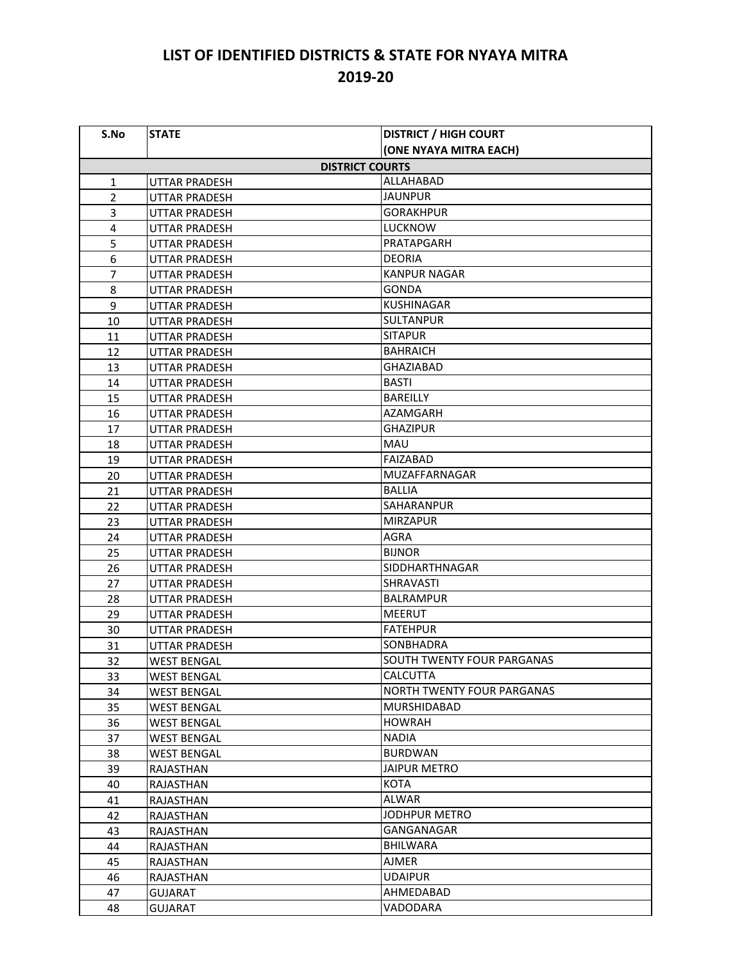## **LIST OF IDENTIFIED DISTRICTS & STATE FOR NYAYA MITRA 2019-20**

| S.No                   | <b>STATE</b>         | <b>DISTRICT / HIGH COURT</b>      |  |
|------------------------|----------------------|-----------------------------------|--|
|                        |                      | (ONE NYAYA MITRA EACH)            |  |
| <b>DISTRICT COURTS</b> |                      |                                   |  |
| 1                      | <b>UTTAR PRADESH</b> | ALLAHABAD                         |  |
| $\overline{2}$         | UTTAR PRADESH        | JAUNPUR                           |  |
| 3                      | UTTAR PRADESH        | <b>GORAKHPUR</b>                  |  |
| 4                      | UTTAR PRADESH        | <b>LUCKNOW</b>                    |  |
| 5                      | <b>UTTAR PRADESH</b> | PRATAPGARH                        |  |
| 6                      | <b>UTTAR PRADESH</b> | <b>DEORIA</b>                     |  |
| $\overline{7}$         | UTTAR PRADESH        | <b>KANPUR NAGAR</b>               |  |
| 8                      | UTTAR PRADESH        | <b>GONDA</b>                      |  |
| 9                      | <b>UTTAR PRADESH</b> | <b>KUSHINAGAR</b>                 |  |
| 10                     | <b>UTTAR PRADESH</b> | <b>SULTANPUR</b>                  |  |
| 11                     | UTTAR PRADESH        | <b>SITAPUR</b>                    |  |
| 12                     | <b>UTTAR PRADESH</b> | <b>BAHRAICH</b>                   |  |
| 13                     | UTTAR PRADESH        | <b>GHAZIABAD</b>                  |  |
| 14                     | <b>UTTAR PRADESH</b> | <b>BASTI</b>                      |  |
| 15                     | UTTAR PRADESH        | <b>BAREILLY</b>                   |  |
| 16                     | <b>UTTAR PRADESH</b> | AZAMGARH                          |  |
| 17                     | <b>UTTAR PRADESH</b> | <b>GHAZIPUR</b>                   |  |
| 18                     | <b>UTTAR PRADESH</b> | MAU                               |  |
| 19                     | <b>UTTAR PRADESH</b> | FAIZABAD                          |  |
| 20                     | UTTAR PRADESH        | <b>MUZAFFARNAGAR</b>              |  |
| 21                     | UTTAR PRADESH        | BALLIA                            |  |
| 22                     | <b>UTTAR PRADESH</b> | <b>SAHARANPUR</b>                 |  |
| 23                     | UTTAR PRADESH        | <b>MIRZAPUR</b>                   |  |
| 24                     | UTTAR PRADESH        | AGRA                              |  |
| 25                     | UTTAR PRADESH        | <b>BIJNOR</b>                     |  |
| 26                     | UTTAR PRADESH        | <b>SIDDHARTHNAGAR</b>             |  |
| 27                     | UTTAR PRADESH        | SHRAVASTI                         |  |
| 28                     | UTTAR PRADESH        | <b>BALRAMPUR</b>                  |  |
| 29                     | UTTAR PRADESH        | <b>MEERUT</b>                     |  |
| 30                     | <b>UTTAR PRADESH</b> | <b>FATEHPUR</b>                   |  |
| 31                     | UTTAR PRADESH        | SONBHADRA                         |  |
| 32                     | WEST BENGAL          | SOUTH TWENTY FOUR PARGANAS        |  |
| 33                     | <b>WEST BENGAL</b>   | <b>CALCUTTA</b>                   |  |
| 34                     | <b>WEST BENGAL</b>   | <b>NORTH TWENTY FOUR PARGANAS</b> |  |
| 35                     | <b>WEST BENGAL</b>   | <b>MURSHIDABAD</b>                |  |
| 36                     | WEST BENGAL          | <b>HOWRAH</b>                     |  |
| 37                     | WEST BENGAL          | <b>NADIA</b>                      |  |
| 38                     | <b>WEST BENGAL</b>   | <b>BURDWAN</b>                    |  |
| 39                     | RAJASTHAN            | <b>JAIPUR METRO</b>               |  |
| 40                     | RAJASTHAN            | <b>KOTA</b>                       |  |
| 41                     | RAJASTHAN            | ALWAR                             |  |
| 42                     | RAJASTHAN            | JODHPUR METRO                     |  |
| 43                     | RAJASTHAN            | GANGANAGAR                        |  |
| 44                     | RAJASTHAN            | <b>BHILWARA</b>                   |  |
| 45                     | RAJASTHAN            | <b>AJMER</b>                      |  |
| 46                     | RAJASTHAN            | <b>UDAIPUR</b>                    |  |
| 47                     | <b>GUJARAT</b>       | AHMEDABAD                         |  |
| 48                     | <b>GUJARAT</b>       | VADODARA                          |  |